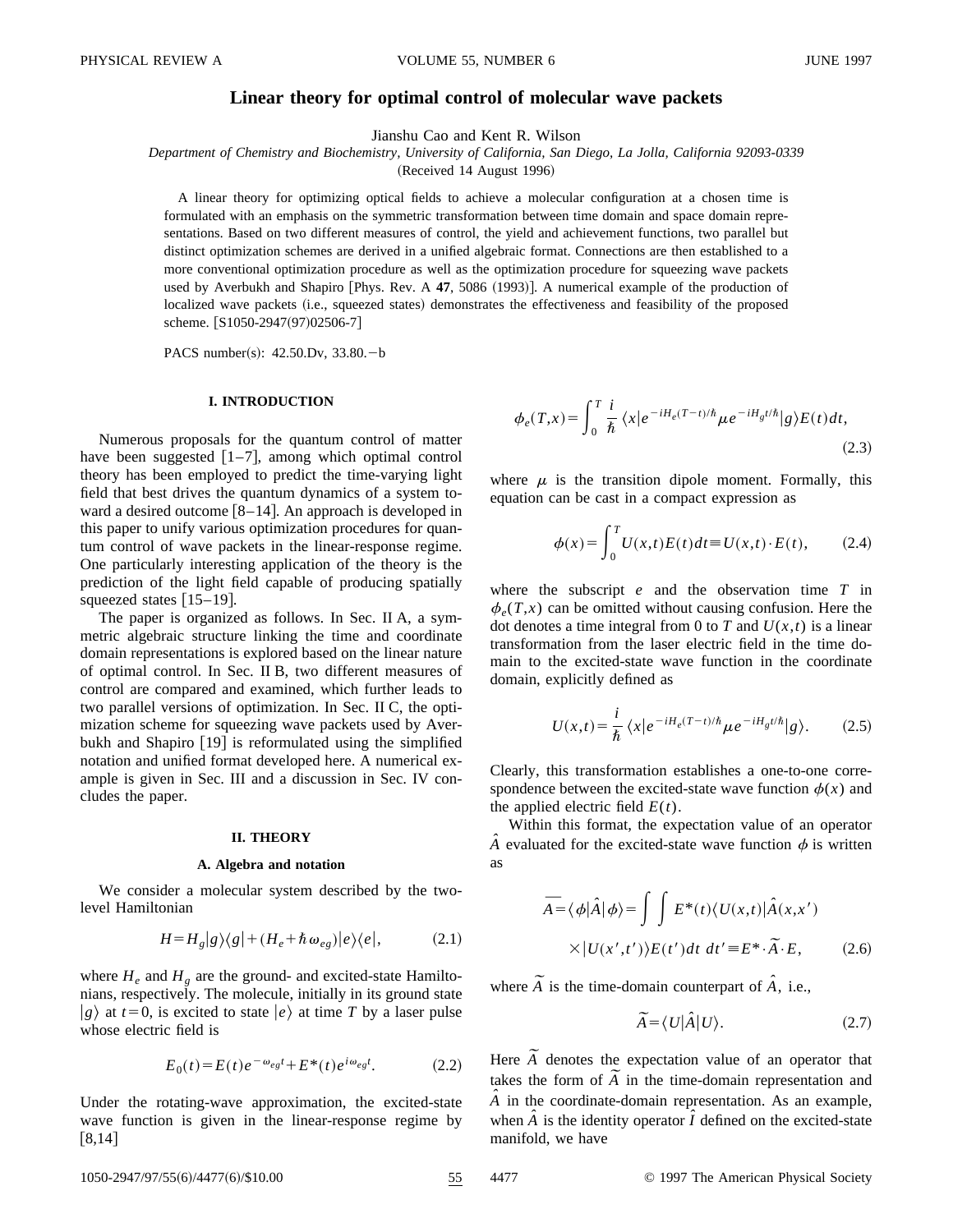# **Linear theory for optimal control of molecular wave packets**

Jianshu Cao and Kent R. Wilson

*Department of Chemistry and Biochemistry, University of California, San Diego, La Jolla, California 92093-0339*

(Received 14 August 1996)

A linear theory for optimizing optical fields to achieve a molecular configuration at a chosen time is formulated with an emphasis on the symmetric transformation between time domain and space domain representations. Based on two different measures of control, the yield and achievement functions, two parallel but distinct optimization schemes are derived in a unified algebraic format. Connections are then established to a more conventional optimization procedure as well as the optimization procedure for squeezing wave packets used by Averbukh and Shapiro  $[Phys. \; Rev. \; A \; 47, \; 5086 \; (1993)].$  A numerical example of the production of localized wave packets (i.e., squeezed states) demonstrates the effectiveness and feasibility of the proposed scheme. [S1050-2947(97)02506-7]

PACS number(s):  $42.50 \text{.}Dv$ ,  $33.80 - b$ 

## **I. INTRODUCTION**

Numerous proposals for the quantum control of matter have been suggested  $[1-7]$ , among which optimal control theory has been employed to predict the time-varying light field that best drives the quantum dynamics of a system toward a desired outcome  $[8-14]$ . An approach is developed in this paper to unify various optimization procedures for quantum control of wave packets in the linear-response regime. One particularly interesting application of the theory is the prediction of the light field capable of producing spatially squeezed states  $[15–19]$ .

The paper is organized as follows. In Sec. II A, a symmetric algebraic structure linking the time and coordinate domain representations is explored based on the linear nature of optimal control. In Sec. II B, two different measures of control are compared and examined, which further leads to two parallel versions of optimization. In Sec. II C, the optimization scheme for squeezing wave packets used by Averbukh and Shapiro  $[19]$  is reformulated using the simplified notation and unified format developed here. A numerical example is given in Sec. III and a discussion in Sec. IV concludes the paper.

#### **II. THEORY**

### **A. Algebra and notation**

We consider a molecular system described by the twolevel Hamiltonian

$$
H = H_g|g\rangle\langle g| + (H_e + \hbar \omega_{eg})|e\rangle\langle e|, \tag{2.1}
$$

where  $H_e$  and  $H_g$  are the ground- and excited-state Hamiltonians, respectively. The molecule, initially in its ground state  $|g\rangle$  at  $t=0$ , is excited to state  $|e\rangle$  at time *T* by a laser pulse whose electric field is

$$
E_0(t) = E(t)e^{-\omega_{eg}t} + E^*(t)e^{i\omega_{eg}t}.
$$
 (2.2)

Under the rotating-wave approximation, the excited-state wave function is given in the linear-response regime by  $[8,14]$ 

$$
\phi_e(T, x) = \int_0^T \frac{i}{\hbar} \langle x | e^{-iH_e(T-t)/\hbar} \mu e^{-iH_g t/\hbar} | g \rangle E(t) dt,
$$
\n(2.3)

where  $\mu$  is the transition dipole moment. Formally, this equation can be cast in a compact expression as

$$
\phi(x) = \int_0^T U(x,t)E(t)dt \equiv U(x,t) \cdot E(t), \qquad (2.4)
$$

where the subscript *e* and the observation time *T* in  $\phi_e(T, x)$  can be omitted without causing confusion. Here the dot denotes a time integral from 0 to *T* and  $U(x,t)$  is a linear transformation from the laser electric field in the time domain to the excited-state wave function in the coordinate domain, explicitly defined as

$$
U(x,t) = \frac{i}{\hbar} \langle x|e^{-iH_e(T-t)/\hbar} \mu e^{-iH_g t/\hbar} |g\rangle.
$$
 (2.5)

Clearly, this transformation establishes a one-to-one correspondence between the excited-state wave function  $\phi(x)$  and the applied electric field  $E(t)$ .

Within this format, the expectation value of an operator  $\hat{A}$  evaluated for the excited-state wave function  $\phi$  is written as

$$
\overline{A} = \langle \phi | \hat{A} | \phi \rangle = \int \int E^*(t) \langle U(x, t) | \hat{A}(x, x') \rangle
$$

$$
\times |U(x', t')\rangle E(t') dt dt' = E^* \cdot \overline{A} \cdot E, \qquad (2.6)
$$

where  $\widetilde{A}$  is the time-domain counterpart of  $\hat{A}$ , i.e.,

$$
\widetilde{A} = \langle U | \hat{A} | U \rangle. \tag{2.7}
$$

Here  $\widetilde{A}$  denotes the expectation value of an operator that Here *A* denotes the expectation value of an operator that takes the form of  $\widetilde{A}$  in the time-domain representation and  $\hat{A}$  in the coordinate-domain representation. As an example, when  $\hat{A}$  is the identity operator  $\hat{I}$  defined on the excited-state manifold, we have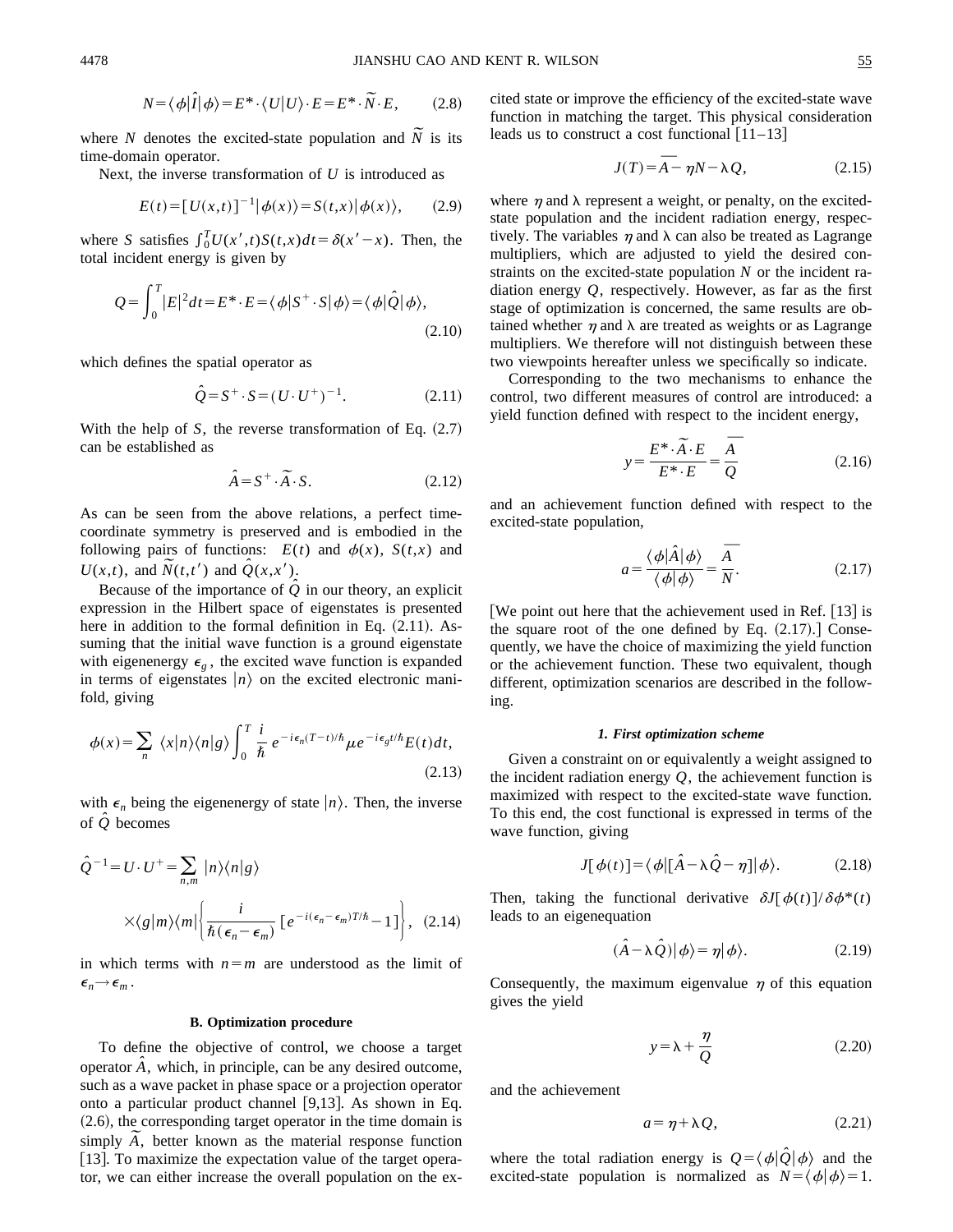$$
N = \langle \phi | \hat{I} | \phi \rangle = E^* \cdot \langle U | U \rangle \cdot E = E^* \cdot \widetilde{N} \cdot E, \qquad (2.8)
$$

where *N* denotes the excited-state population and  $\widetilde{N}$  is its time-domain operator.

Next, the inverse transformation of *U* is introduced as

$$
E(t) = [U(x,t)]^{-1} |\phi(x)\rangle = S(t,x) |\phi(x)\rangle, \qquad (2.9)
$$

where *S* satisfies  $\int_0^T U(x',t)S(t,x)dt = \delta(x'-x)$ . Then, the total incident energy is given by

$$
Q = \int_0^T |E|^2 dt = E^* \cdot E = \langle \phi | S^+ \cdot S | \phi \rangle = \langle \phi | \hat{Q} | \phi \rangle, \tag{2.10}
$$

which defines the spatial operator as

$$
\hat{Q} = S^{+} \cdot S = (U \cdot U^{+})^{-1}.
$$
\n(2.11)

With the help of  $S$ , the reverse transformation of Eq.  $(2.7)$ can be established as

$$
\hat{A} = S^+ \cdot \tilde{A} \cdot S. \tag{2.12}
$$

As can be seen from the above relations, a perfect timecoordinate symmetry is preserved and is embodied in the following pairs of functions:  $E(t)$  and  $\phi(x)$ ,  $S(t,x)$  and  $U(x,t)$ , and  $\overline{N}(t,t')$  and  $\overline{Q}(x,x')$ .

Because of the importance of  $\hat{Q}$  in our theory, an explicit expression in the Hilbert space of eigenstates is presented here in addition to the formal definition in Eq.  $(2.11)$ . Assuming that the initial wave function is a ground eigenstate with eigenenergy  $\epsilon_{\varrho}$ , the excited wave function is expanded in terms of eigenstates  $|n\rangle$  on the excited electronic manifold, giving

$$
\phi(x) = \sum_{n} \langle x | n \rangle \langle n | g \rangle \int_{0}^{T} \frac{i}{\hbar} e^{-i\epsilon_{n}(T-t)/\hbar} \mu e^{-i\epsilon_{g}t/\hbar} E(t) dt,
$$
\n(2.13)

with  $\epsilon_n$  being the eigenenergy of state  $|n\rangle$ . Then, the inverse of *Qˆ* becomes

$$
\hat{Q}^{-1} = U \cdot U^{+} = \sum_{n,m} |n\rangle\langle n|g\rangle
$$
  
 
$$
\times\langle g|m\rangle\langle m|\left\{\frac{i}{\hbar(\epsilon_n - \epsilon_m)}\left[e^{-i(\epsilon_n - \epsilon_m)T/\hbar} - 1\right]\right\}, (2.14)
$$

in which terms with  $n=m$  are understood as the limit of  $\epsilon_n \rightarrow \epsilon_m$ .

#### **B. Optimization procedure**

To define the objective of control, we choose a target operator  $\hat{A}$ , which, in principle, can be any desired outcome, such as a wave packet in phase space or a projection operator onto a particular product channel  $[9,13]$ . As shown in Eq.  $(2.6)$ , the corresponding target operator in the time domain is (2.6), the corresponding target operator in the time domain is simply  $\widetilde{A}$ , better known as the material response function [13]. To maximize the expectation value of the target operator, we can either increase the overall population on the excited state or improve the efficiency of the excited-state wave function in matching the target. This physical consideration leads us to construct a cost functional  $\lceil 11-13 \rceil$ 

$$
J(T) = \overline{A} - \eta N - \lambda Q, \qquad (2.15)
$$

where  $\eta$  and  $\lambda$  represent a weight, or penalty, on the excitedstate population and the incident radiation energy, respectively. The variables  $\eta$  and  $\lambda$  can also be treated as Lagrange multipliers, which are adjusted to yield the desired constraints on the excited-state population *N* or the incident radiation energy *Q*, respectively. However, as far as the first stage of optimization is concerned, the same results are obtained whether  $\eta$  and  $\lambda$  are treated as weights or as Lagrange multipliers. We therefore will not distinguish between these two viewpoints hereafter unless we specifically so indicate.

Corresponding to the two mechanisms to enhance the control, two different measures of control are introduced: a yield function defined with respect to the incident energy,

$$
y = \frac{E^* \cdot \tilde{A} \cdot E}{E^* \cdot E} = \frac{\overline{A}}{Q}
$$
 (2.16)

and an achievement function defined with respect to the excited-state population,

$$
a = \frac{\langle \phi | \hat{A} | \phi \rangle}{\langle \phi | \phi \rangle} = \frac{\overline{A}}{N}.
$$
 (2.17)

We point out here that the achievement used in Ref.  $[13]$  is the square root of the one defined by Eq.  $(2.17)$ . Consequently, we have the choice of maximizing the yield function or the achievement function. These two equivalent, though different, optimization scenarios are described in the following.

#### *1. First optimization scheme*

Given a constraint on or equivalently a weight assigned to the incident radiation energy *Q*, the achievement function is maximized with respect to the excited-state wave function. To this end, the cost functional is expressed in terms of the wave function, giving

$$
J[\phi(t)] = \langle \phi | [\hat{A} - \lambda \hat{Q} - \eta] | \phi \rangle. \tag{2.18}
$$

Then, taking the functional derivative  $\delta J[\phi(t)]/\delta\phi^*(t)$ leads to an eigenequation

$$
(\hat{A} - \lambda \hat{Q})|\phi\rangle = \eta|\phi\rangle. \tag{2.19}
$$

Consequently, the maximum eigenvalue  $\eta$  of this equation gives the yield

$$
y = \lambda + \frac{\eta}{Q} \tag{2.20}
$$

and the achievement

$$
a = \eta + \lambda Q, \tag{2.21}
$$

where the total radiation energy is  $Q = \langle \phi | \hat{Q} | \phi \rangle$  and the excited-state population is normalized as  $N = \langle \phi | \phi \rangle = 1$ .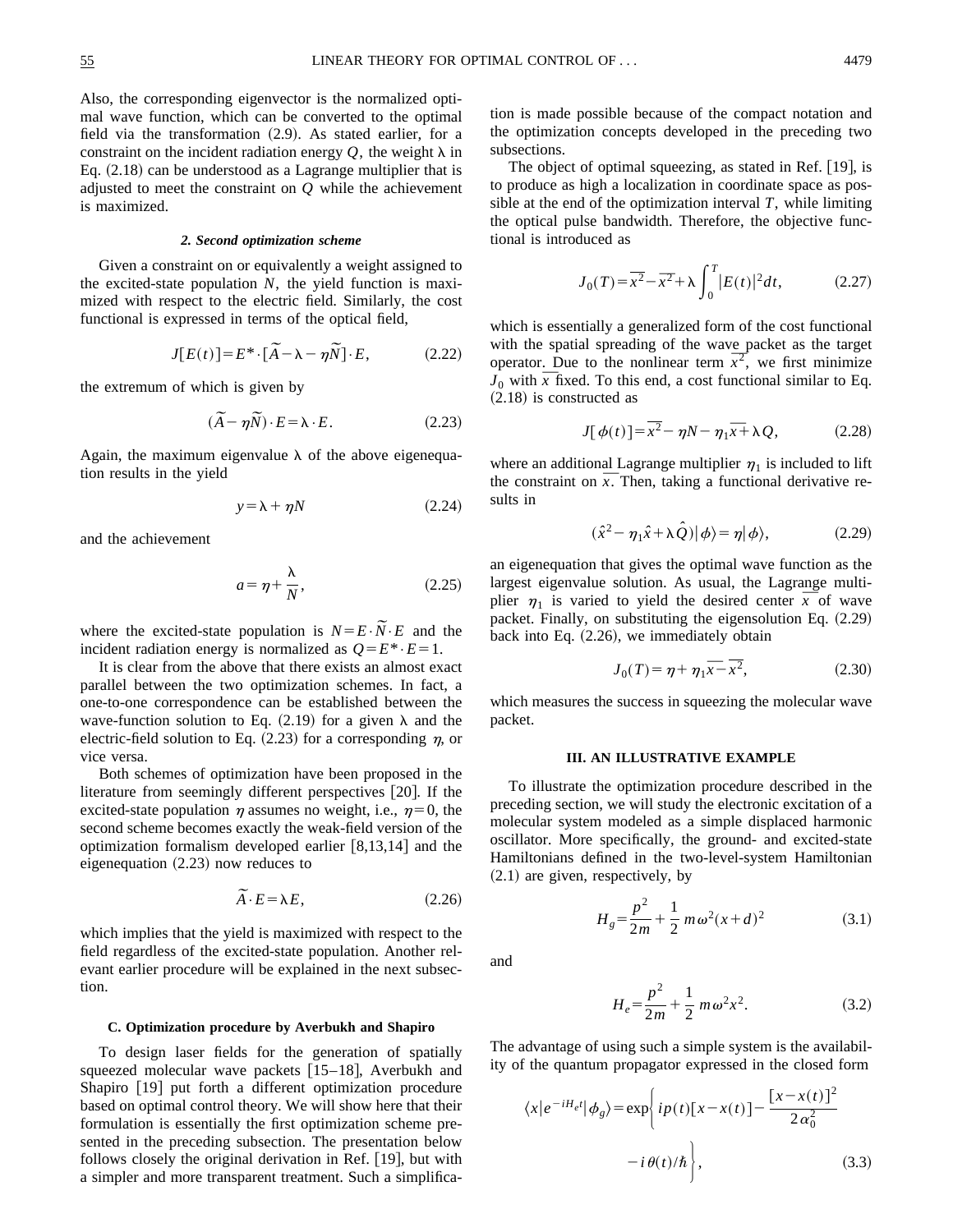Also, the corresponding eigenvector is the normalized optimal wave function, which can be converted to the optimal field via the transformation  $(2.9)$ . As stated earlier, for a constraint on the incident radiation energy  $Q$ , the weight  $\lambda$  in Eq.  $(2.18)$  can be understood as a Lagrange multiplier that is adjusted to meet the constraint on *Q* while the achievement is maximized.

#### *2. Second optimization scheme*

Given a constraint on or equivalently a weight assigned to the excited-state population *N*, the yield function is maximized with respect to the electric field. Similarly, the cost functional is expressed in terms of the optical field,

$$
J[E(t)] = E^* \cdot [\tilde{A} - \lambda - \eta \tilde{N}] \cdot E, \qquad (2.22)
$$

the extremum of which is given by

$$
(\widetilde{A} - \eta \widetilde{N}) \cdot E = \lambda \cdot E. \tag{2.23}
$$

Again, the maximum eigenvalue  $\lambda$  of the above eigenequation results in the yield

$$
y = \lambda + \eta N \tag{2.24}
$$

and the achievement

$$
a = \eta + \frac{\lambda}{N},\tag{2.25}
$$

where the excited-state population is  $N=E\cdot N\cdot E$  and the incident radiation energy is normalized as  $Q = E^* \cdot E = 1$ .

It is clear from the above that there exists an almost exact parallel between the two optimization schemes. In fact, a one-to-one correspondence can be established between the wave-function solution to Eq.  $(2.19)$  for a given  $\lambda$  and the electric-field solution to Eq.  $(2.23)$  for a corresponding  $\eta$ , or vice versa.

Both schemes of optimization have been proposed in the literature from seemingly different perspectives  $[20]$ . If the excited-state population  $\eta$  assumes no weight, i.e.,  $\eta=0$ , the second scheme becomes exactly the weak-field version of the optimization formalism developed earlier  $[8,13,14]$  and the eigenequation  $(2.23)$  now reduces to

$$
\widetilde{A} \cdot E = \lambda E, \tag{2.26}
$$

which implies that the yield is maximized with respect to the field regardless of the excited-state population. Another relevant earlier procedure will be explained in the next subsection.

## **C. Optimization procedure by Averbukh and Shapiro**

To design laser fields for the generation of spatially squeezed molecular wave packets  $\lfloor 15-18 \rfloor$ , Averbukh and Shapiro [19] put forth a different optimization procedure based on optimal control theory. We will show here that their formulation is essentially the first optimization scheme presented in the preceding subsection. The presentation below follows closely the original derivation in Ref.  $[19]$ , but with a simpler and more transparent treatment. Such a simplification is made possible because of the compact notation and the optimization concepts developed in the preceding two subsections.

The object of optimal squeezing, as stated in Ref.  $[19]$ , is to produce as high a localization in coordinate space as possible at the end of the optimization interval *T*, while limiting the optical pulse bandwidth. Therefore, the objective functional is introduced as

$$
J_0(T) = \overline{x^2} - \overline{x}^2 + \lambda \int_0^T |E(t)|^2 dt, \qquad (2.27)
$$

which is essentially a generalized form of the cost functional with the spatial spreading of the wave packet as the target with the spatial spreading of the wave packet as the target<br>operator. Due to the nonlinear term  $\bar{x}^2$ , we first minimize operator. Due to the nonlinear term  $x^2$ , we first minimize  $J_0$  with  $\overline{x}$  fixed. To this end, a cost functional similar to Eq.  $(2.18)$  is constructed as

$$
J[\phi(t)] = \overline{x^2} - \eta N - \eta_1 \overline{x} + \lambda Q, \qquad (2.28)
$$

where an additional Lagrange multiplier  $\eta_1$  is included to lift where an additional Lagrange multiplier  $\eta_1$  is included to lift<br>the constraint on  $\overline{x}$ . Then, taking a functional derivative results in

$$
(\hat{x}^2 - \eta_1 \hat{x} + \lambda \hat{Q}) |\phi\rangle = \eta |\phi\rangle, \qquad (2.29)
$$

an eigenequation that gives the optimal wave function as the largest eigenvalue solution. As usual, the Lagrange multilargest eigenvalue solution. As usual, the Lagrange multi-<br>plier  $\eta_1$  is varied to yield the desired center  $\bar{x}$  of wave packet. Finally, on substituting the eigensolution Eq.  $(2.29)$ back into Eq.  $(2.26)$ , we immediately obtain

$$
J_0(T) = \eta + \eta_1 \overline{x} - \overline{x^2},
$$
 (2.30)

which measures the success in squeezing the molecular wave packet.

# **III. AN ILLUSTRATIVE EXAMPLE**

To illustrate the optimization procedure described in the preceding section, we will study the electronic excitation of a molecular system modeled as a simple displaced harmonic oscillator. More specifically, the ground- and excited-state Hamiltonians defined in the two-level-system Hamiltonian  $(2.1)$  are given, respectively, by

$$
H_g = \frac{p^2}{2m} + \frac{1}{2} m \omega^2 (x + d)^2
$$
 (3.1)

and

$$
H_e = \frac{p^2}{2m} + \frac{1}{2} m \omega^2 x^2.
$$
 (3.2)

The advantage of using such a simple system is the availability of the quantum propagator expressed in the closed form

$$
\langle x|e^{-iH_{e}t}|\phi_{g}\rangle = \exp\left\{ip(t)[x-x(t)] - \frac{[x-x(t)]^{2}}{2\alpha_{0}^{2}} -i\theta(t)/\hbar\right\},
$$
\n(3.3)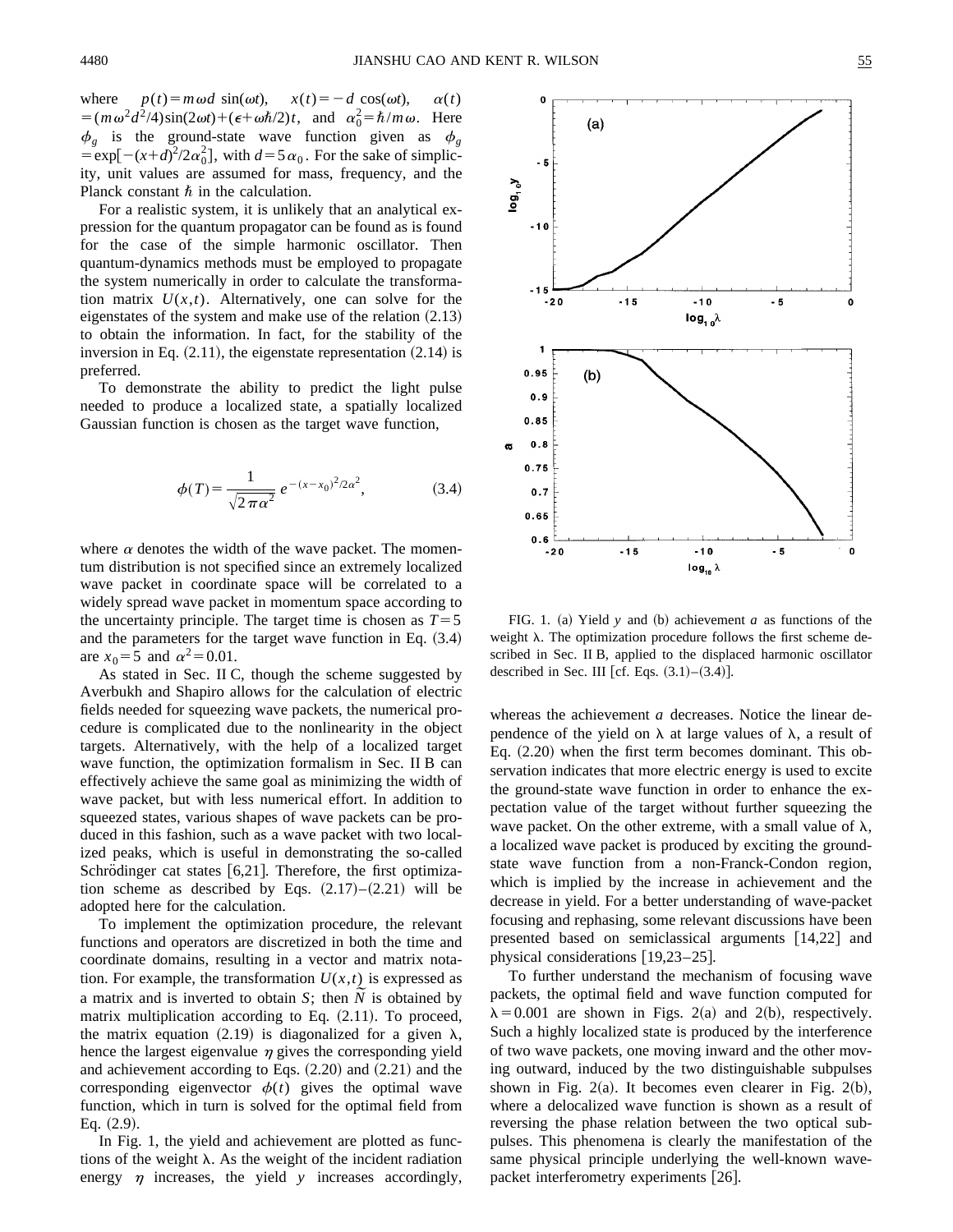where  $p(t) = m \omega d \sin(\omega t)$ ,  $x(t) = -d \cos(\omega t)$ ,  $\alpha(t)$  $=(m\omega^2 d^2/4)\sin(2\omega t) + (\epsilon + \omega \hbar/2)t$ , and  $\alpha_0^2 = \hbar/m\omega$ . Here  $\phi_g$  is the ground-state wave function given as  $\phi_g$  $=$ exp[ $-(x+d)^2/2\alpha_0^2$ ], with  $d=5\alpha_0$ . For the sake of simplicity, unit values are assumed for mass, frequency, and the Planck constant  $\hbar$  in the calculation.

For a realistic system, it is unlikely that an analytical expression for the quantum propagator can be found as is found for the case of the simple harmonic oscillator. Then quantum-dynamics methods must be employed to propagate the system numerically in order to calculate the transformation matrix  $U(x,t)$ . Alternatively, one can solve for the eigenstates of the system and make use of the relation  $(2.13)$ to obtain the information. In fact, for the stability of the inversion in Eq.  $(2.11)$ , the eigenstate representation  $(2.14)$  is preferred.

To demonstrate the ability to predict the light pulse needed to produce a localized state, a spatially localized Gaussian function is chosen as the target wave function,

$$
\phi(T) = \frac{1}{\sqrt{2\pi\alpha^2}} e^{-(x-x_0)^2/2\alpha^2},
$$
\n(3.4)

where  $\alpha$  denotes the width of the wave packet. The momentum distribution is not specified since an extremely localized wave packet in coordinate space will be correlated to a widely spread wave packet in momentum space according to the uncertainty principle. The target time is chosen as  $T=5$ and the parameters for the target wave function in Eq.  $(3.4)$ are  $x_0 = 5$  and  $\alpha^2 = 0.01$ .

As stated in Sec. II C, though the scheme suggested by Averbukh and Shapiro allows for the calculation of electric fields needed for squeezing wave packets, the numerical procedure is complicated due to the nonlinearity in the object targets. Alternatively, with the help of a localized target wave function, the optimization formalism in Sec. II B can effectively achieve the same goal as minimizing the width of wave packet, but with less numerical effort. In addition to squeezed states, various shapes of wave packets can be produced in this fashion, such as a wave packet with two localized peaks, which is useful in demonstrating the so-called Schrödinger cat states  $[6,21]$ . Therefore, the first optimization scheme as described by Eqs.  $(2.17)–(2.21)$  will be adopted here for the calculation.

To implement the optimization procedure, the relevant functions and operators are discretized in both the time and coordinate domains, resulting in a vector and matrix notation. For example, the transformation  $U(x,t)$  is expressed as a matrix and is inverted to obtain *S*; then *N* is obtained by matrix multiplication according to Eq.  $(2.11)$ . To proceed, the matrix equation (2.19) is diagonalized for a given  $\lambda$ , hence the largest eigenvalue  $\eta$  gives the corresponding yield and achievement according to Eqs.  $(2.20)$  and  $(2.21)$  and the corresponding eigenvector  $\phi(t)$  gives the optimal wave function, which in turn is solved for the optimal field from Eq.  $(2.9)$ .

In Fig. 1, the yield and achievement are plotted as functions of the weight  $\lambda$ . As the weight of the incident radiation energy  $\eta$  increases, the yield  $\gamma$  increases accordingly,



FIG. 1. (a) Yield  $y$  and (b) achievement  $a$  as functions of the weight  $\lambda$ . The optimization procedure follows the first scheme described in Sec. II B, applied to the displaced harmonic oscillator described in Sec. III [cf. Eqs.  $(3.1)$ – $(3.4)$ ].

whereas the achievement *a* decreases. Notice the linear dependence of the yield on  $\lambda$  at large values of  $\lambda$ , a result of Eq.  $(2.20)$  when the first term becomes dominant. This observation indicates that more electric energy is used to excite the ground-state wave function in order to enhance the expectation value of the target without further squeezing the wave packet. On the other extreme, with a small value of  $\lambda$ , a localized wave packet is produced by exciting the groundstate wave function from a non-Franck-Condon region, which is implied by the increase in achievement and the decrease in yield. For a better understanding of wave-packet focusing and rephasing, some relevant discussions have been presented based on semiclassical arguments  $[14,22]$  and physical considerations  $[19,23-25]$ .

To further understand the mechanism of focusing wave packets, the optimal field and wave function computed for  $\lambda$ =0.001 are shown in Figs. 2(a) and 2(b), respectively. Such a highly localized state is produced by the interference of two wave packets, one moving inward and the other moving outward, induced by the two distinguishable subpulses shown in Fig. 2(a). It becomes even clearer in Fig. 2(b), where a delocalized wave function is shown as a result of reversing the phase relation between the two optical subpulses. This phenomena is clearly the manifestation of the same physical principle underlying the well-known wavepacket interferometry experiments  $[26]$ .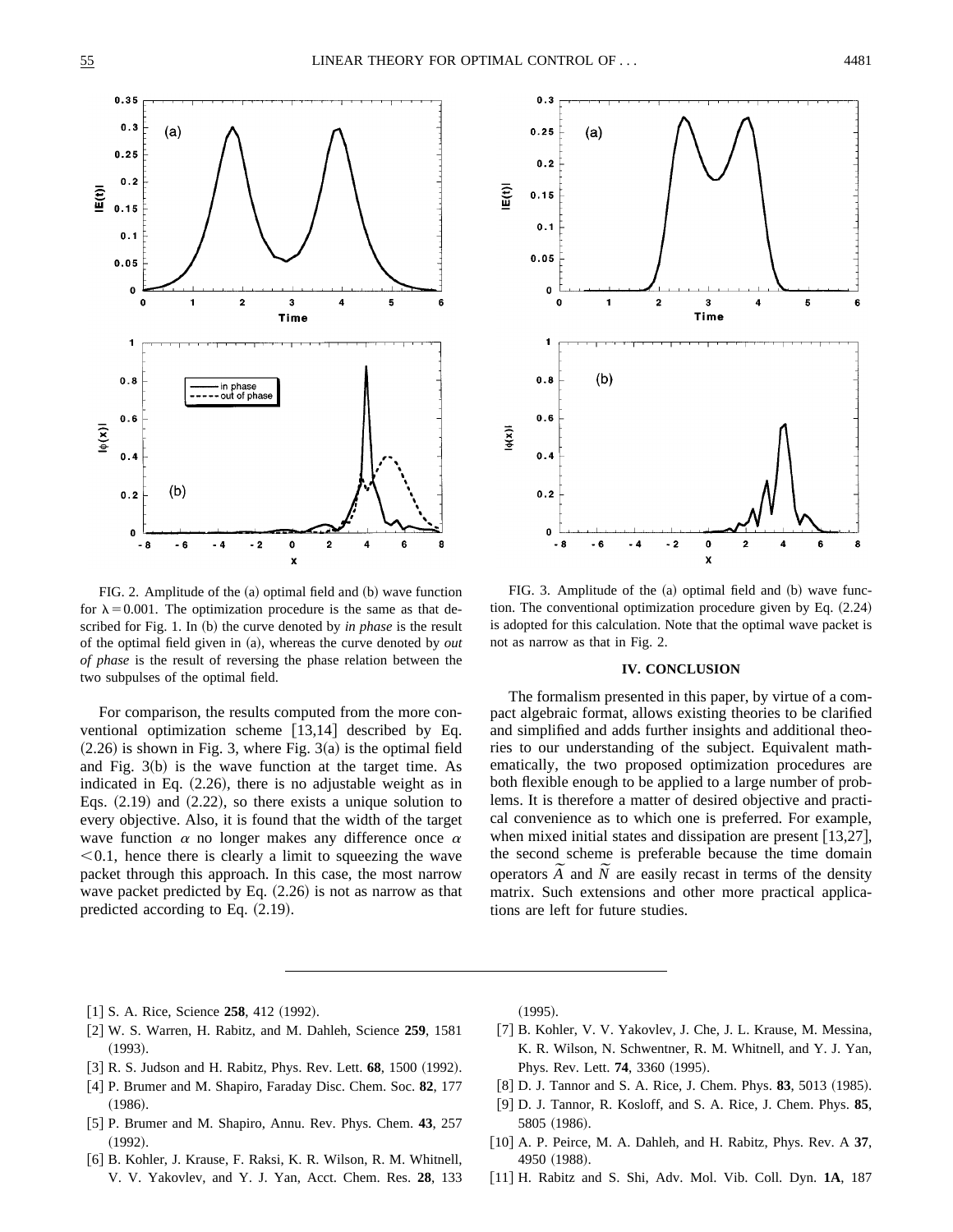

FIG. 2. Amplitude of the  $(a)$  optimal field and  $(b)$  wave function for  $\lambda = 0.001$ . The optimization procedure is the same as that described for Fig. 1. In (b) the curve denoted by *in phase* is the result of the optimal field given in  $(a)$ , whereas the curve denoted by *out of phase* is the result of reversing the phase relation between the two subpulses of the optimal field.

For comparison, the results computed from the more conventional optimization scheme  $[13,14]$  described by Eq.  $(2.26)$  is shown in Fig. 3, where Fig. 3 $(a)$  is the optimal field and Fig.  $3(b)$  is the wave function at the target time. As indicated in Eq.  $(2.26)$ , there is no adjustable weight as in Eqs.  $(2.19)$  and  $(2.22)$ , so there exists a unique solution to every objective. Also, it is found that the width of the target wave function  $\alpha$  no longer makes any difference once  $\alpha$  $< 0.1$ , hence there is clearly a limit to squeezing the wave packet through this approach. In this case, the most narrow wave packet predicted by Eq.  $(2.26)$  is not as narrow as that predicted according to Eq.  $(2.19)$ .



FIG. 3. Amplitude of the  $(a)$  optimal field and  $(b)$  wave function. The conventional optimization procedure given by Eq.  $(2.24)$ is adopted for this calculation. Note that the optimal wave packet is not as narrow as that in Fig. 2.

# **IV. CONCLUSION**

The formalism presented in this paper, by virtue of a compact algebraic format, allows existing theories to be clarified and simplified and adds further insights and additional theories to our understanding of the subject. Equivalent mathematically, the two proposed optimization procedures are both flexible enough to be applied to a large number of problems. It is therefore a matter of desired objective and practical convenience as to which one is preferred. For example, when mixed initial states and dissipation are present  $[13,27]$ , the second scheme is preferable because the time domain the second scheme is preferable because the time domain operators  $\tilde{A}$  and  $\tilde{N}$  are easily recast in terms of the density matrix. Such extensions and other more practical applications are left for future studies.

- $[1]$  S. A. Rice, Science 258, 412  $(1992)$ .
- @2# W. S. Warren, H. Rabitz, and M. Dahleh, Science **259**, 1581  $(1993).$
- [3] R. S. Judson and H. Rabitz, Phys. Rev. Lett. **68**, 1500 (1992).
- @4# P. Brumer and M. Shapiro, Faraday Disc. Chem. Soc. **82**, 177  $(1986).$
- @5# P. Brumer and M. Shapiro, Annu. Rev. Phys. Chem. **43**, 257  $(1992).$
- [6] B. Kohler, J. Krause, F. Raksi, K. R. Wilson, R. M. Whitnell, V. V. Yakovlev, and Y. J. Yan, Acct. Chem. Res. **28**, 133

 $(1995).$ 

- [7] B. Kohler, V. V. Yakovlev, J. Che, J. L. Krause, M. Messina, K. R. Wilson, N. Schwentner, R. M. Whitnell, and Y. J. Yan, Phys. Rev. Lett. **74**, 3360 (1995).
- [8] D. J. Tannor and S. A. Rice, J. Chem. Phys. **83**, 5013 (1985).
- @9# D. J. Tannor, R. Kosloff, and S. A. Rice, J. Chem. Phys. **85**, 5805 (1986).
- [10] A. P. Peirce, M. A. Dahleh, and H. Rabitz, Phys. Rev. A 37, 4950 (1988).
- [11] H. Rabitz and S. Shi, Adv. Mol. Vib. Coll. Dyn. 1A, 187